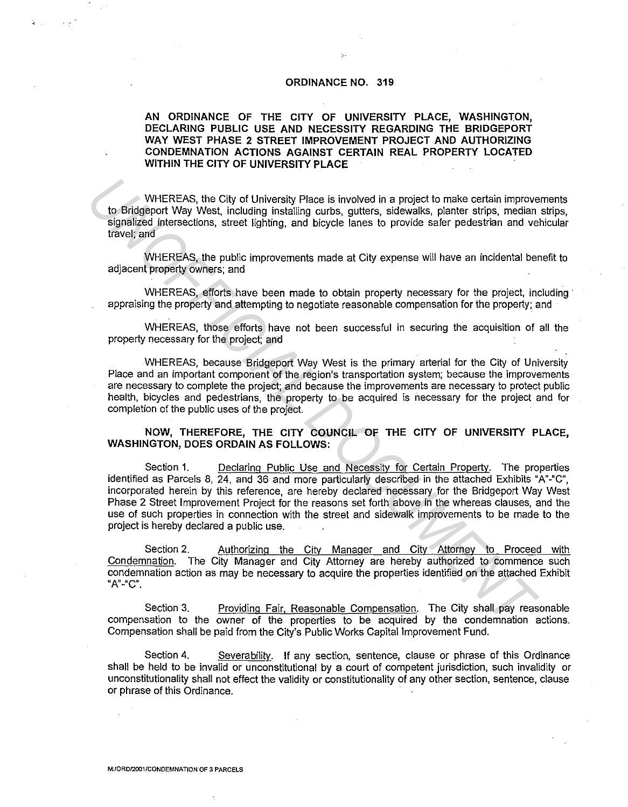### **ORDINANCE NO. 319**

# **AN ORDINANCE OF THE CITY OF UNIVERSITY PLACE, WASHINGTON, DECLARING PUBLIC USE AND NECESSITY REGARDING THE BRIDGEPORT WAY WEST PHASE 2 STREET IMPROVEMENT PROJECT AND AUTHORIZING CONDEMNATION ACTIONS AGAINST CERTAIN REAL PROPERTY LOCATED WITHIN THE CITY OF UNIVERSITY PLACE**

WHEREAS, the City of University Place is involved in a project to make certain improvements to Bridgeport Way West, including installing curbs, gutters, sidewalks, planter strips, median strips, signalized intersections, street lighting, and bicycle lanes to provide safer pedestrian and vehicular travel; and

WHEREAS, the public improvements made at City expense will have an incidental benefit to adjacent property owners; and

WHEREAS, efforts have been made to obtain property necessary for the project, including appraising the property and attempting to negotiate reasonable compensation for the property; and

WHEREAS, those efforts have not been successful in securing the acquisition of all the property necessary for the project; and

WHEREAS, because Bridgeport Way West is the primary arterial for the City of University Place and an important component of the region's transportation system; because the improvements are necessary to complete the project; and because the improvements are necessary to protect public health, bicycles and pedestrians, the property to be acquired is necessary for the project and for completion of the public uses of the project

# **NOW, THEREFORE, THE CITY COUNCIL OF THE CITY OF UNIVERSITY PLACE, WASHINGTON, DOES ORDAIN AS FOLLOWS:**

Section 1. Declaring Public Use and Necessity for Certain Property. The properties identified as Parcels 8, 24, and 36 and more particularly described in the attached Exhibits "A"-"C", incorporated herein by this reference, are hereby declared necessary for the Bridgeport Way West Phase 2 Street Improvement Project for the reasons set forth above in the whereas clauses, and the use of such properties in connection with the street and sidewalk improvements to be made to the project is hereby declared a public use. WHEREAS, the City of University Place is involved in a project to make certain improve<br>to Bridgeport Way West, including installing curbs, gutters, sidewalls, planter strips, median<br>digitalized interescions, street lightin

Section 2. Authorizing the City Manager and City Attorney to Proceed with Condemnation. The City Manager and City Attorney are hereby authorized to commence such condemnation action as may be necessary to acquire the properties identified on the attached Exhibit **"A"-"C".** 

Section 3. Providing Fair, Reasonable Compensation. The City shall pay reasonable compensation to the owner of the properties to be acquired by the condemnation actions. Compensation shall be paid from the City's Public Works Capital Improvement Fund.

Section 4. Severability. If any section, sentence, clause or phrase of this Ordinance shall be held to be invalid or unconstitutional by a court of competent jurisdiction, such invalidity or unconstitutionality shall not effect the validity or constitutionality of any other section, sentence, clause or phrase of this Ordinance.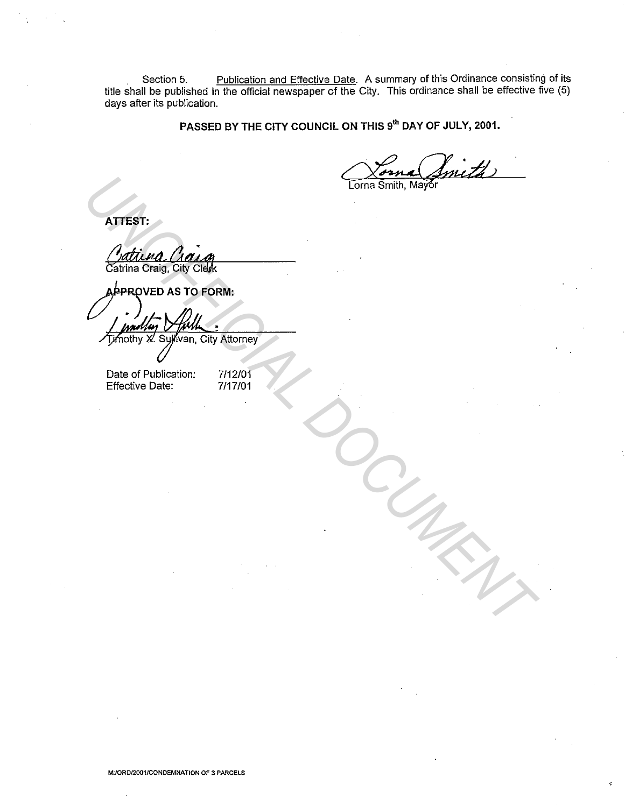Section 5. Publication and Effective Date. A summary of this Ordinance consisting of its title shall be published in the official newspaper of the City. This ordinance shall be effective five (5) days after its publication.

**PASSED BY THE CITY COUNCIL ON THIS** 9'" **DAY OF JULY, 2001.** 

**ATIEST:** 

Extress:<br>
Cuttion Chairs<br>
Come Smith, Mayor<br>
Approved a Street<br> *University R. Suppose, City Attorney*<br>
Date of Publication: 7/12/01<br>
Effective Date: 7/17/01<br>
Effective Date: 7/17/01

Date of Publication: 7/12/01<br>Effective Date: 7/17/01 Effective Date:

**M:/ORD/2001/CONDEMNATION OF 3 PARCELS**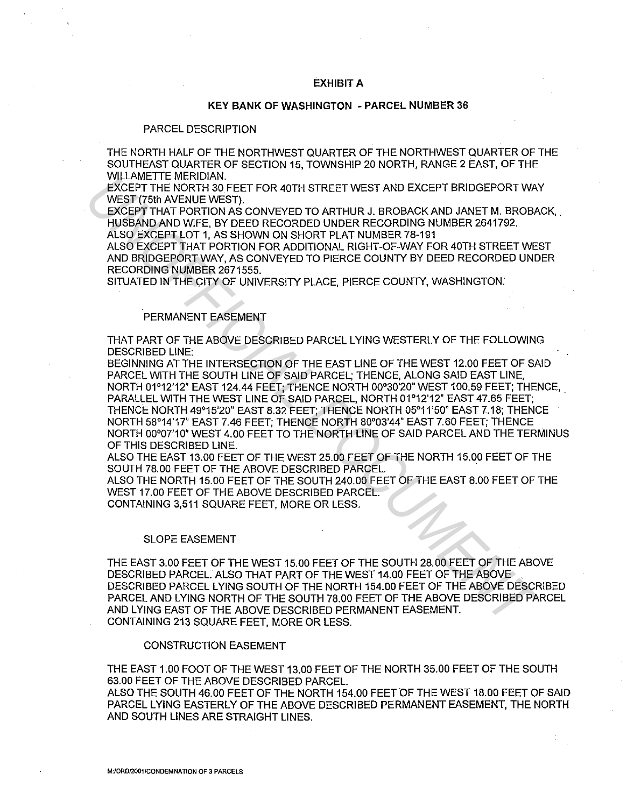### **EXHIBIT A**

## **KEY BANK OF WASHINGTON - PARCEL NUMBER 36**

## PARCEL DESCRIPTION

THE NORTH HALF OF THE NORTHWEST QUARTER OF THE NORTHWEST QUARTER OF THE SOUTHEAST QUARTER OF SECTION 15, TOWNSHIP 20 NORTH, RANGE 2 EAST, OF THE WILLAMETIE MERIDIAN.

EXCEPT THE NORTH 30 FEET FOR 40TH STREET WEST AND EXCEPT BRIDGEPORT WAY WEST (75th AVENUE WEST).

EXCEPT THAT PORTION AS CONVEYED TO ARTHUR J. BROBACK AND JANET M. BROBACK, HUSBAND AND WIFE, BY DEED RECORDED UNDER RECORDING NUMBER 2641792.

ALSO EXCEPT LOT 1, AS SHOWN ON SHORT PLAT NUMBER 78-191

ALSO EXCEPT THAT PORTION FOR ADDITIONAL RIGHT-OF-WAY FOR 40TH STREET WEST AND BRIDGEPORT WAY, AS CONVEYED TO PIERCE COUNTY BY DEED RECORDED UNDER RECORDING NUMBER 2671555.

SITUATED IN THE CITY OF UNIVERSITY PLACE, PIERCE COUNTY, WASHINGTON:

# PERMANENT EASEMENT

THAT PART OF THE ABOVE DESCRIBED PARCEL LYING WESTERLY OF THE FOLLOWING DESCRIBED LINE:

BEGINNING AT THE INTERSECTION OF THE EAST LINE OF THE WEST 12.00 FEET OF SAID PARCEL WITH THE SOUTH LINE OF SAID PARCEL; THENCE, ALONG SAID EAST LINE, NORTH 01°12'12" EAST 124.44 FEET; THENCE NORTH 00°30'20" WEST 100.59 FEET; THENCE, PARALLEL WITH THE WEST LINE OF SAID PARCEL, NORTH 01°12'12" EAST 47.65 FEET; THENCE NORTH 49°15'20" EAST 8.32 FEET; THENCE NORTH 05°11'50" EAST 7.18; THENCE NORTH 58°14'17" EAST 7.46 FEET; THENCE NORTH 80°03'44" EAST 7.60 FEET; THENCE NORTH 00°07'10" WEST 4.00 FEET TO THE NORTH LINE OF SAID PARCEL AND THE TERMINUS OF THIS DESCRIBED LINE. WILCOME THE WARTIONAL PHENCE INTERFERIT WEST AND EXCEPT FIR DOCTET THE WORTH OF THE NORTH AND CONTENT AND CONTENT AND CONTENT AND CONTENT INTO EXCEPT THAT PORTION AS CONVEYED TO ARTHUR A ERCORDING NUMBER 2641782.<br>ALSO EXCE

ALSO THE EAST 13.00 FEET OF THE WEST 25.00 FEET OF THE NORTH 15.00 FEET OF THE SOUTH 78.00 FEET OF THE ABOVE DESCRIBED PARCEL.

ALSO THE NORTH 15.00 FEET OF THE SOUTH 240.00 FEET OF THE EAST 8.00 FEET OF THE WEST 17.00 FEET OF THE ABOVE DESCRIBED PARCEL.

CONTAINING 3,511 SQUARE FEET, MORE OR LESS.

#### SLOPE EASEMENT

THE EAST 3.00 FEET OF THE WEST 15.00 FEET OF THE SOUTH 28.00 FEET OF THE ABOVE DESCRIBED PARCEL. ALSO THAT PART OF THE WEST 14.00 FEET OF THE ABOVE DESCRIBED PARCEL LYING SOUTH OF THE NORTH 154.00 FEET OF THE ABOVE DESCRIBED PARCEL AND LYING NORTH OF THE SOUTH 78.00 FEET OF THE ABOVE DESCRIBED PARCEL AND LYING EAST OF THE ABOVE DESCRIBED PERMANENT EASEMENT. CONTAINING 213 SQUARE FEET, MORE OR LESS.

# CONSTRUCTION EASEMENT

THE EAST 1.00 FOOT OF THE WEST 13.00 FEET OF THE NORTH 35.00 FEET OF THE SOUTH 63.00 FEET OF THE ABOVE DESCRIBED PARCEL.

ALSO THE SOUTH 46.00 FEET OF THE NORTH 154.00 FEET OF THE WEST 18.00 FEET OF SAID PARCELL YING EASTERLY OF THE ABOVE DESCRIBED PERMANENT EASEMENT, THE NORTH AND SOUTH LINES ARE STRAIGHT LINES.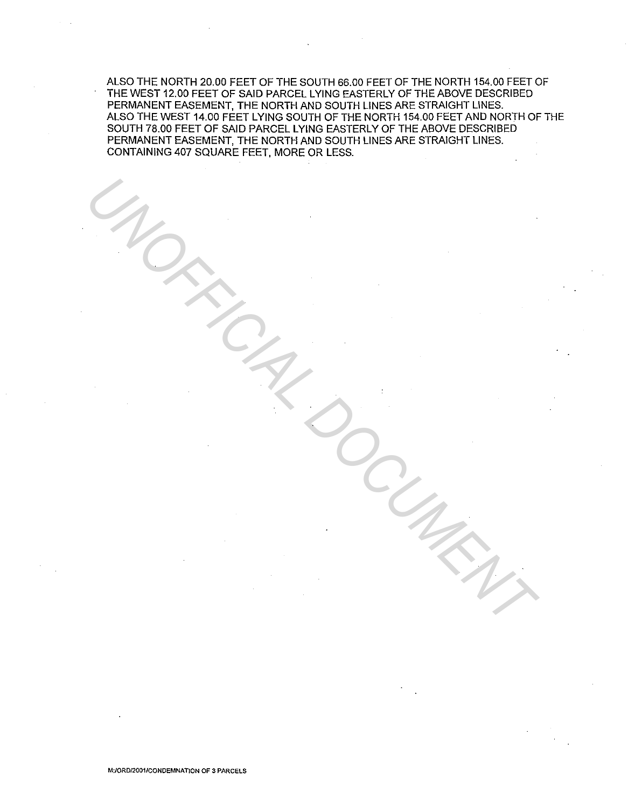ALSO THE NORTH 20.00 FEET OF THE SOUTH 66.00 FEET OF THE NORTH 154.00 FEET OF THE WEST 12.00 FEET OF SAID PARCELL YING EASTERLY OF THE ABOVE DESCRIBED PERMANENT EASEMENT, THE NORTH AND SOUTH LINES ARE STRAIGHT LINES. ALSO THE WEST 14.00 FEET LYING SOUTH OF THE NORTH 154.00 FEET AND NORTH OF THE SOUTH 78.00 FEET OF SAID PARCEL LYING EASTERLY OF THE ABOVE DESCRIBED PERMANENT EASEMENT, THE NORTH AND SOUTH LINES ARE STRAIGHT LINES. CONTAINING 407 SQUARE FEET, MORE OR LESS.

UNOFFICIAL DOCUMENT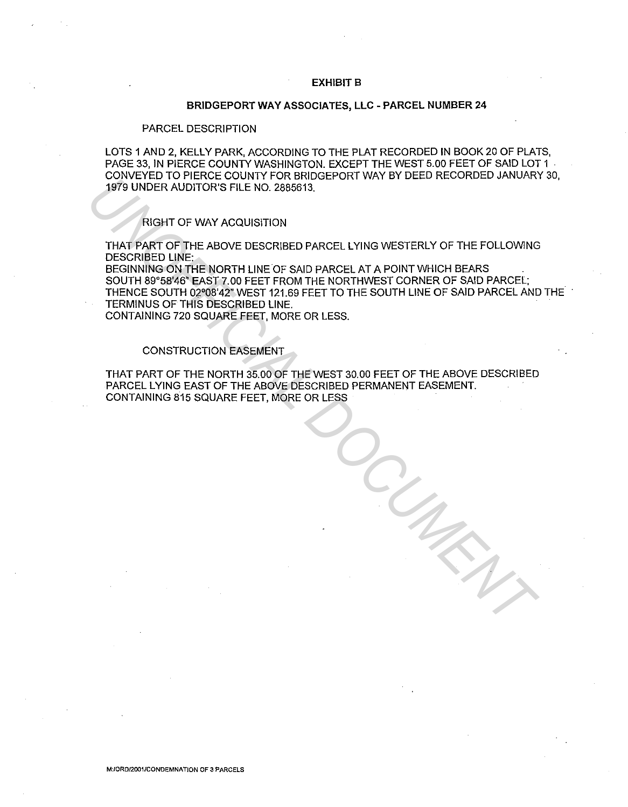### **EXHIBITS**

### **BRIDGEPORT WAY ASSOCIATES, LLC - PARCEL NUMBER 24**

#### PARCEL DESCRIPTION

LOTS 1 AND 2, KELLY PARK, ACCORDING TO THE PLAT RECORDED IN BOOK 20 OF PLATS, PAGE 33, IN PIERCE COUNTY WASHINGTON. EXCEPT THE WEST 5.00 FEET OF SAID LOT 1 CONVEYED TO PIERCE COUNTY FOR BRIDGEPORT WAY BY DEED RECORDED JANUARY 30, 1979 UNDER AUDITOR'S FILE NO. 2885613.

## RIGHT OF WAY ACQUISITION

THAT PART OF THE ABOVE DESCRIBED PARCEL LYING WESTERLY OF THE FOLLOWING DESCRIBED LINE:

BEGINNING ON THE NORTH LINE OF SAID PARCEL AT A POINT WHICH BEARS SOUTH 89'58'46" EAST 7.00 FEET FROM THE NORTHWEST CORNER OF SAID PARCEL; THENCE SOUTH 02°08'42" WEST 121.69 FEET TO THE SOUTH LINE OF SAID PARCEL AND THE TERMINUS OF THIS DESCRIBED LINE. **UNDER AUDITOR'S FILE NO. 2885613.**<br> **INTERNATION THAT OF WAY ACQUISITION**<br>
THAT PART OF THE ABOVE DESCRIBED PARCEL LYING WESTERLY OF THE FOLLOWING<br>
DESCRIBED LINE:<br>
DESCRIBED UNDER AUDITORY TO THE ADOPTH LINE OF SAID PARC

CONTAINING 720 SQUARE FEET, MORE OR LESS.

# CONSTRUCTION EASEMENT

THAT PART OF THE NORTH 35.00 OF THE WEST 30.00 FEET OF THE ABOVE DESCRIBED PARCEL LYING EAST OF **THE** ABOVE DESCRIBED PERMANENT EASEMENT. CONTAINING 815 SQUARE FEET, MORE OR LESS